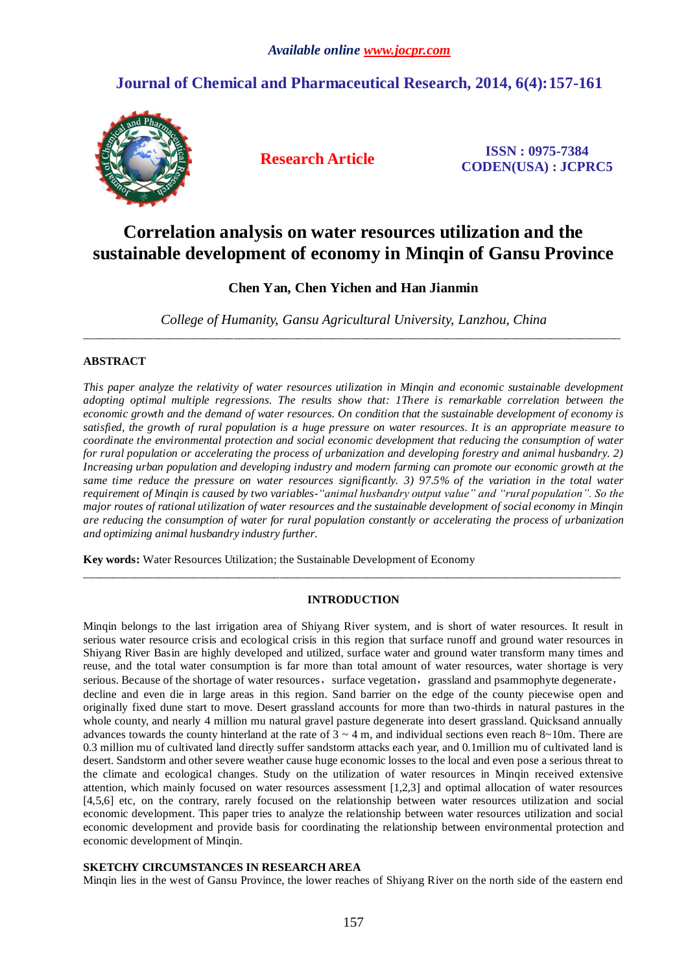## **Journal of Chemical and Pharmaceutical Research, 2014, 6(4):157-161**



**Research Article ISSN : 0975-7384 CODEN(USA) : JCPRC5**

# **Correlation analysis on water resources utilization and the sustainable development of economy in Minqin of Gansu Province**

## **Chen Yan, Chen Yichen and Han Jianmin**

*College of Humanity, Gansu Agricultural University, Lanzhou, China* \_\_\_\_\_\_\_\_\_\_\_\_\_\_\_\_\_\_\_\_\_\_\_\_\_\_\_\_\_\_\_\_\_\_\_\_\_\_\_\_\_\_\_\_\_\_\_\_\_\_\_\_\_\_\_\_\_\_\_\_\_\_\_\_\_\_\_\_\_\_\_\_\_\_\_\_\_\_\_\_\_\_\_\_\_\_\_\_\_\_\_\_\_

## **ABSTRACT**

*This paper analyze the relativity of water resources utilization in Minqin and economic sustainable development adopting optimal multiple regressions. The results show that: 1There is remarkable correlation between the economic growth and the demand of water resources. On condition that the sustainable development of economy is satisfied, the growth of rural population is a huge pressure on water resources. It is an appropriate measure to coordinate the environmental protection and social economic development that reducing the consumption of water for rural population or accelerating the process of urbanization and developing forestry and animal husbandry. 2) Increasing urban population and developing industry and modern farming can promote our economic growth at the same time reduce the pressure on water resources significantly. 3) 97.5% of the variation in the total water requirement of Minqin is caused by two variables-"animal husbandry output value" and "rural population". So the major routes of rational utilization of water resources and the sustainable development of social economy in Minqin are reducing the consumption of water for rural population constantly or accelerating the process of urbanization and optimizing animal husbandry industry further.*

**Key words:** [Water Resources Utilization;](http://www.iciba.com/water_resources_utilization) the Sustainable Development of Economy

## **INTRODUCTION**

 $\_$  ,  $\_$  ,  $\_$  ,  $\_$  ,  $\_$  ,  $\_$  ,  $\_$  ,  $\_$  ,  $\_$  ,  $\_$  ,  $\_$  ,  $\_$  ,  $\_$  ,  $\_$  ,  $\_$  ,  $\_$  ,  $\_$  ,  $\_$  ,  $\_$  ,  $\_$  ,  $\_$  ,  $\_$  ,  $\_$  ,  $\_$  ,  $\_$  ,  $\_$  ,  $\_$  ,  $\_$  ,  $\_$  ,  $\_$  ,  $\_$  ,  $\_$  ,  $\_$  ,  $\_$  ,  $\_$  ,  $\_$  ,  $\_$  ,

Minqin belongs to the last irrigation area of Shiyang River system, and is short of water resources. It result in serious water resource crisis and ecological crisis in this region that surface runoff and ground water resources in Shiyang River Basin are highly developed and utilized, surface water and ground water transform many times and reuse, and the total water consumption is far more than total amount of water resources, water shortage is very serious. Because of the shortage of water resources, surface vegetation, grassland and psammophyte degenerate, decline and even die in large areas in this region. Sand barrier on the edge of the county piecewise open and originally fixed dune start to move. Desert grassland accounts for more than two-thirds in natural pastures in the whole county, and nearly 4 million mu natural gravel pasture degenerate into desert grassland. Quicksand annually advances towards the county hinterland at the rate of  $3 \sim 4$  m, and individual sections even reach  $8 \sim 10$ m. There are 0.3 million mu of cultivated land directly suffer sandstorm attacks each year, and 0.1million mu of cultivated land is desert. Sandstorm and other severe weather cause huge economic losses to the local and even pose a serious threat to the climate and ecological changes. Study on the utilization of water resources in Minqin received extensive attention, which mainly focused on water resources assessment [1,2,3] and optimal allocation of water resources [4,5,6] etc, on the contrary, rarely focused on the relationship between water resources utilization and social economic development. This paper tries to analyze the relationship between water resources utilization and social economic development and provide basis for coordinating the relationship between environmental protection and economic development of Minqin.

## **SKETCHY CIRCUMSTANCES IN RESEARCH AREA**

Minqin lies in the west of Gansu Province, the lower reaches of Shiyang River on the north side of the eastern end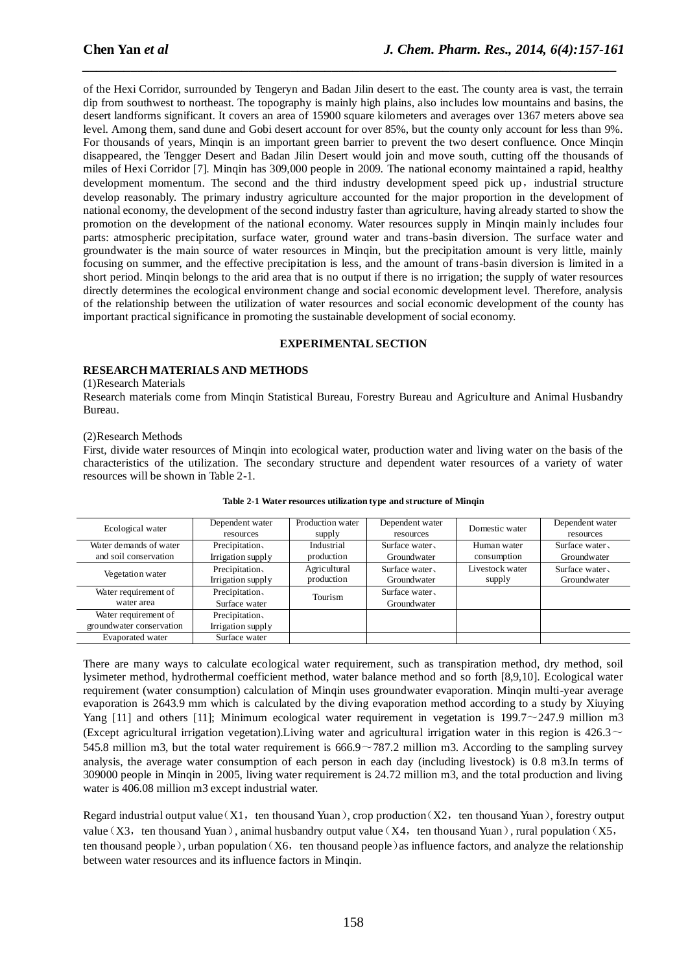of the Hexi Corridor, surrounded by Tengeryn and Badan Jilin desert to the east. The county area is vast, the terrain dip from southwest to northeast. The topography is mainly high plains, also includes low mountains and basins, the desert landforms significant. It covers an area of 15900 square kilometers and averages over 1367 meters above sea level. Among them, sand dune and Gobi desert account for over 85%, but the county only account for less than 9%. For thousands of years, Minqin is an important green barrier to prevent the two desert confluence. Once Minqin disappeared, the Tengger Desert and Badan Jilin Desert would join and move south, cutting off the thousands of miles of Hexi Corridor [7]. Minqin has 309,000 people in 2009. The national economy maintained a rapid, healthy development momentum. The second and the third industry development speed pick up, industrial structure develop reasonably. The primary industry agriculture accounted for the major proportion in the development of national economy, the development of the second industry faster than agriculture, having already started to show the promotion on the development of the national economy. Water resources supply in Minqin mainly includes four parts: atmospheric precipitation, surface water, ground water and trans-basin diversion. The surface water and groundwater is the main source of water resources in Minqin, but the precipitation amount is very little, mainly focusing on summer, and the effective precipitation is less, and the amount of trans-basin diversion is limited in a short period. Minqin belongs to the arid area that is no output if there is no irrigation; the supply of water resources directly determines the ecological environment change and social economic development level. Therefore, analysis of the relationship between the utilization of water resources and social economic development of the county has important practical significance in promoting the sustainable development of social economy.

*\_\_\_\_\_\_\_\_\_\_\_\_\_\_\_\_\_\_\_\_\_\_\_\_\_\_\_\_\_\_\_\_\_\_\_\_\_\_\_\_\_\_\_\_\_\_\_\_\_\_\_\_\_\_\_\_\_\_\_\_\_\_\_\_\_\_\_\_\_\_\_\_\_\_\_\_\_*

#### **EXPERIMENTAL SECTION**

## **RESEARCH MATERIALS AND METHODS**

#### (1)Research Materials

Research materials come from Minqin Statistical Bureau, Forestry Bureau and Agriculture and Animal Husbandry Bureau.

#### (2)Research Methods

First, divide water resources of Minqin into ecological water, production water and living water on the basis of the characteristics of the utilization. The secondary structure and dependent water resources of a variety of water resources will be shown in Table 2-1.

| Ecological water                                 | Dependent water<br>resources        | Production water<br>supply | Dependent water<br>resources  | Domestic water             | Dependent water<br>resources |
|--------------------------------------------------|-------------------------------------|----------------------------|-------------------------------|----------------------------|------------------------------|
| Water demands of water<br>and soil conservation  | Precipitation,<br>Irrigation supply | Industrial<br>production   | Surface water.<br>Groundwater | Human water<br>consumption | Surface water<br>Groundwater |
| Vegetation water                                 | Precipitation,<br>Irrigation supply | Agricultural<br>production | Surface water<br>Groundwater  | Livestock water<br>supply  | Surface water<br>Groundwater |
| Water requirement of<br>water area               | Precipitation,<br>Surface water     | Tourism                    | Surface water.<br>Groundwater |                            |                              |
| Water requirement of<br>groundwater conservation | Precipitation,<br>Irrigation supply |                            |                               |                            |                              |
| <b>Evaporated</b> water                          | Surface water                       |                            |                               |                            |                              |

**Table 2-1 Water resources utilization type and structure of Minqin**

There are many ways to calculate ecological water requirement, such as transpiration method, dry method, soil lysimeter method, hydrothermal coefficient method, water balance method and so forth [8,9,10]. Ecological water requirement (water consumption) calculation of Minqin uses groundwater evaporation. Minqin multi-year average evaporation is 2643.9 mm which is calculated by the diving evaporation method according to a study by Xiuying Yang [11] and others [11]; Minimum ecological water requirement in vegetation is 199.7 $\sim$ 247.9 million m3 (Except agricultural irrigation vegetation). Living water and agricultural irrigation water in this region is  $426.3 \sim$ 545.8 million m3, but the total water requirement is  $666.9 \sim 787.2$  million m3. According to the sampling survey analysis, the average water consumption of each person in each day (including livestock) is 0.8 m3.In terms of 309000 people in Minqin in 2005, living water requirement is 24.72 million m3, and the total production and living water is 406.08 million m3 except industrial water.

Regard industrial output value  $(X1, \text{ten thousand Yuan})$ , crop production  $(X2, \text{ten thousand Yuan})$ , forestry output value (X3, ten thousand Yuan), animal husbandry output value (X4, ten thousand Yuan), rural population (X5, ten thousand people), urban population $(X6, \text{ten thousand people})$  as influence factors, and analyze the relationship between water resources and its influence factors in Minqin.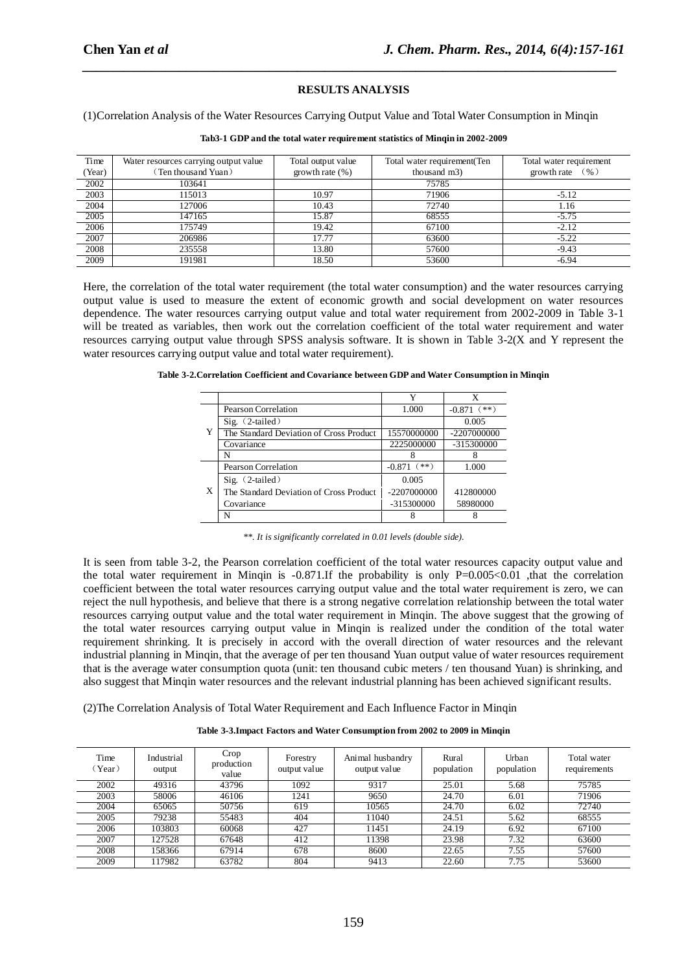## **RESULTS ANALYSIS**

*\_\_\_\_\_\_\_\_\_\_\_\_\_\_\_\_\_\_\_\_\_\_\_\_\_\_\_\_\_\_\_\_\_\_\_\_\_\_\_\_\_\_\_\_\_\_\_\_\_\_\_\_\_\_\_\_\_\_\_\_\_\_\_\_\_\_\_\_\_\_\_\_\_\_\_\_\_*

(1)Correlation Analysis of the Water Resources Carrying Output Value and Total Water Consumption in Minqin

| Time   | Water resources carrying output value | Total output value | Total water requirement (Ten | Total water requirement |
|--------|---------------------------------------|--------------------|------------------------------|-------------------------|
| (Year) | (Ten thousand Yuan)                   | growth rate $(\%)$ | thousand m3)                 | ( %)<br>growth rate     |
| 2002   | 103641                                |                    | 75785                        |                         |
| 2003   | 115013                                | 10.97              | 71906                        | $-5.12$                 |
| 2004   | 127006                                | 10.43              | 72740                        | 1.16                    |
| 2005   | 147165                                | 15.87              | 68555                        | $-5.75$                 |
| 2006   | 175749                                | 19.42              | 67100                        | $-2.12$                 |
| 2007   | 206986                                | 17.77              | 63600                        | $-5.22$                 |
| 2008   | 235558                                | 13.80              | 57600                        | $-9.43$                 |
| 2009   | 191981                                | 18.50              | 53600                        | $-6.94$                 |

#### **Tab3-1 GDP and the total water requirement statistics of Minqin in 2002-2009**

Here, the correlation of the total water requirement (the total water consumption) and the water resources carrying output value is used to measure the extent of economic growth and social development on water resources dependence. The water resources carrying output value and total water requirement from 2002-2009 in Table 3-1 will be treated as variables, then work out the correlation coefficient of the total water requirement and water resources carrying output value through SPSS analysis software. It is shown in Table 3-2(X and Y represent the water resources carrying output value and total water requirement).

|  |  |  | Table 3-2. Correlation Coefficient and Covariance between GDP and Water Consumption in Minqin |  |
|--|--|--|-----------------------------------------------------------------------------------------------|--|
|  |  |  |                                                                                               |  |

|   | Pearson Correlation                     | 1.000              | $-0.871$ (**) |
|---|-----------------------------------------|--------------------|---------------|
|   | Sig. $(2-tailed)$                       |                    | 0.005         |
| Y | The Standard Deviation of Cross Product | 15570000000        | -2207000000   |
|   | Covariance                              | 2225000000         | -315300000    |
|   | N                                       |                    |               |
|   | Pearson Correlation                     | $(**)$<br>$-0.871$ | 1.000         |
|   | $Sig.$ $(2-tailed)$                     | 0.005              |               |
| X | The Standard Deviation of Cross Product | $-2207000000$      | 412800000     |
|   | Covariance                              | -315300000         | 58980000      |
|   | N                                       |                    |               |

*\*\*. It is significantly correlated in 0.01 levels (double side).*

It is seen from table 3-2, the Pearson correlation coefficient of the total water resources capacity output value and the total water requirement in Minqin is  $-0.871$ . If the probability is only P=0.005<0.01 , that the correlation coefficient between the total water resources carrying output value and the total water requirement is zero, we can reject the null hypothesis, and believe that there is a strong negative correlation relationship between the total water resources carrying output value and the total water requirement in Minqin. The above suggest that the growing of the total water resources carrying output value in Minqin is realized under the condition of the total water requirement shrinking. It is precisely in accord with the overall direction of water resources and the relevant industrial planning in Minqin, that the average of per ten thousand Yuan output value of water resources requirement that is the average water consumption quota (unit: ten thousand cubic meters / ten thousand Yuan) is shrinking, and also suggest that Minqin water resources and the relevant industrial planning has been achieved significant results.

(2)The Correlation Analysis of Total Water Requirement and Each Influence Factor in Minqin

| Time<br>(Year) | Industrial<br>output | Crop<br>production<br>value | Forestry<br>output value | Animal husbandry<br>output value | Rural<br>population | Urban<br>population | Total water<br>requirements |
|----------------|----------------------|-----------------------------|--------------------------|----------------------------------|---------------------|---------------------|-----------------------------|
| 2002           | 49316                | 43796                       | 1092                     | 9317                             | 25.01               | 5.68                | 75785                       |
| 2003           | 58006                | 46106                       | 1241                     | 9650                             | 24.70               | 6.01                | 71906                       |
| 2004           | 65065                | 50756                       | 619                      | 10565                            | 24.70               | 6.02                | 72740                       |
| 2005           | 79238                | 55483                       | 404                      | 11040                            | 24.51               | 5.62                | 68555                       |
| 2006           | 103803               | 60068                       | 427                      | 11451                            | 24.19               | 6.92                | 67100                       |
| 2007           | 127528               | 67648                       | 412                      | 11398                            | 23.98               | 7.32                | 63600                       |
| 2008           | 158366               | 67914                       | 678                      | 8600                             | 22.65               | 7.55                | 57600                       |
| 2009           | 17982                | 63782                       | 804                      | 9413                             | 22.60               | 7.75                | 53600                       |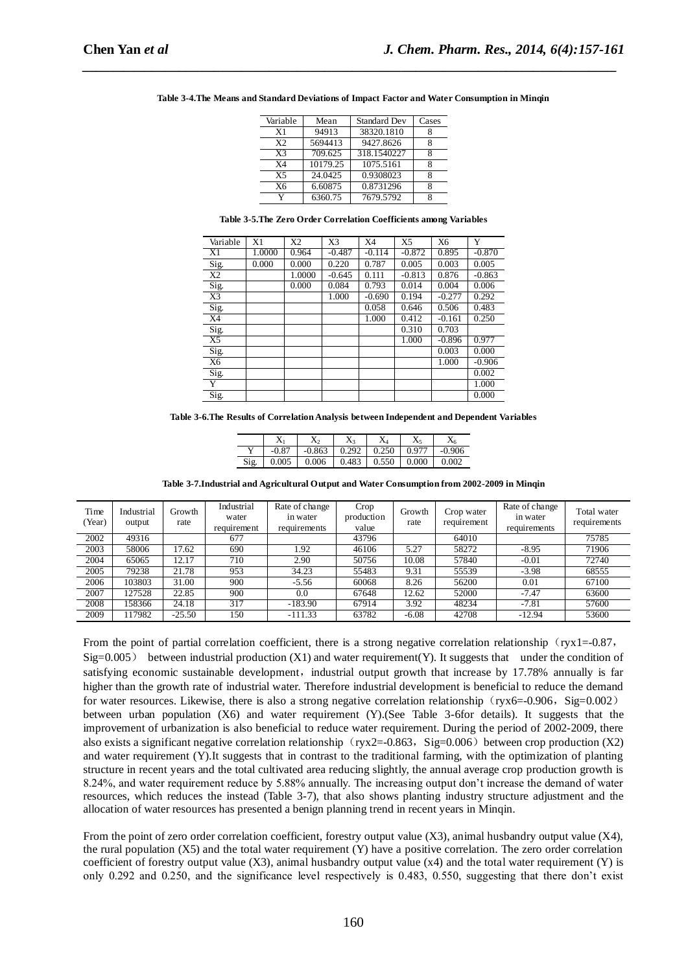| Variable       | Mean     | <b>Standard Dev</b> | Cases |
|----------------|----------|---------------------|-------|
| X1             | 94913    | 38320.1810          |       |
| X <sub>2</sub> | 5694413  | 9427.8626           | 8     |
| X <sup>3</sup> | 709.625  | 318.1540227         | 8     |
| X <sub>4</sub> | 10179.25 | 1075.5161           |       |
| X <sub>5</sub> | 24.0425  | 0.9308023           | 8     |
| X6             | 6.60875  | 0.8731296           | 8     |
| v              | 6360.75  | 7679.5792           |       |

**Table 3-4.The Means and Standard Deviations of Impact Factor and Water Consumption in Minqin**

*\_\_\_\_\_\_\_\_\_\_\_\_\_\_\_\_\_\_\_\_\_\_\_\_\_\_\_\_\_\_\_\_\_\_\_\_\_\_\_\_\_\_\_\_\_\_\_\_\_\_\_\_\_\_\_\_\_\_\_\_\_\_\_\_\_\_\_\_\_\_\_\_\_\_\_\_\_*

|  |  | Table 3-5. The Zero Order Correlation Coefficients among Variables |  |
|--|--|--------------------------------------------------------------------|--|
|  |  |                                                                    |  |

| Variable          | X1     | X2     | X3       | X4       | X <sub>5</sub> | X <sub>6</sub> | Y        |
|-------------------|--------|--------|----------|----------|----------------|----------------|----------|
| X1                | 1.0000 | 0.964  | $-0.487$ | $-0.114$ | $-0.872$       | 0.895          | $-0.870$ |
|                   |        |        |          |          |                |                |          |
| Sig.              | 0.000  | 0.000  | 0.220    | 0.787    | 0.005          | 0.003          | 0.005    |
| X2                |        | 1.0000 | $-0.645$ | 0.111    | $-0.813$       | 0.876          | $-0.863$ |
| Sig.              |        | 0.000  | 0.084    | 0.793    | 0.014          | 0.004          | 0.006    |
| X3                |        |        | 1.000    | $-0.690$ | 0.194          | $-0.277$       | 0.292    |
| $\frac{Sig.}{X4}$ |        |        |          | 0.058    | 0.646          | 0.506          | 0.483    |
|                   |        |        |          | 1.000    | 0.412          | $-0.161$       | 0.250    |
| Sig.              |        |        |          |          | 0.310          | 0.703          |          |
| $X\overline{5}$   |        |        |          |          | 1.000          | $-0.896$       | 0.977    |
| Sig.              |        |        |          |          |                | 0.003          | 0.000    |
| X <sub>6</sub>    |        |        |          |          |                | 1.000          | $-0.906$ |
| Sig.              |        |        |          |          |                |                | 0.002    |
| Y                 |        |        |          |          |                |                | 1.000    |
| Sig.              |        |        |          |          |                |                | 0.000    |

**Table 3-6.The Results of Correlation Analysis between Independent and Dependent Variables**

|      | $\mathbf{A}$ | $\Delta$ | $\Lambda$ <sup>2</sup> | А     | X,    |          |
|------|--------------|----------|------------------------|-------|-------|----------|
| . .  | $-0.87$      | $-0.863$ | 0.292                  | 0.250 | 0.977 | $-0.906$ |
| Sig. | 0.005        | 0.006    | 0.483                  | 0.550 | 0.000 | 0.002    |

| Time<br>(Year) | Industrial<br>output | Growth<br>rate | Industrial<br>water<br>requirement | Rate of change<br>in water<br>requirements | Crop<br>production<br>value | Growth<br>rate | Crop water<br>requirement | Rate of change<br>in water<br>requirements | Total water<br>requirements |
|----------------|----------------------|----------------|------------------------------------|--------------------------------------------|-----------------------------|----------------|---------------------------|--------------------------------------------|-----------------------------|
| 2002           | 49316                |                | 677                                |                                            | 43796                       |                | 64010                     |                                            | 75785                       |
| 2003           | 58006                | 17.62          | 690                                | 1.92                                       | 46106                       | 5.27           | 58272                     | $-8.95$                                    | 71906                       |
| 2004           | 65065                | 12.17          | 710                                | 2.90                                       | 50756                       | 10.08          | 57840                     | $-0.01$                                    | 72740                       |
| 2005           | 79238                | 21.78          | 953                                | 34.23                                      | 55483                       | 9.31           | 55539                     | $-3.98$                                    | 68555                       |
| 2006           | 103803               | 31.00          | 900                                | $-5.56$                                    | 60068                       | 8.26           | 56200                     | 0.01                                       | 67100                       |
| 2007           | 127528               | 22.85          | 900                                | 0.0                                        | 67648                       | 12.62          | 52000                     | $-7.47$                                    | 63600                       |
| 2008           | 158366               | 24.18          | 317                                | $-183.90$                                  | 67914                       | 3.92           | 48234                     | $-7.81$                                    | 57600                       |
| 2009           | 117982               | $-25.50$       | 150                                | $-111.33$                                  | 63782                       | $-6.08$        | 42708                     | $-12.94$                                   | 53600                       |

From the point of partial correlation coefficient, there is a strong negative correlation relationship (ryx1=-0.87,  $Sig=0.005$  between industrial production  $(X1)$  and water requirement(Y). It suggests that under the condition of satisfying economic sustainable development, industrial output growth that increase by 17.78% annually is far higher than the growth rate of industrial water. Therefore industrial development is beneficial to reduce the demand for water resources. Likewise, there is also a strong negative correlation relationship (ryx6=-0.906, Sig=0.002) between urban population (X6) and water requirement (Y).(See Table 3-6for details). It suggests that the improvement of urbanization is also beneficial to reduce water requirement. During the period of 2002-2009, there also exists a significant negative correlation relationship (ryx2=-0.863, Sig=0.006) between crop production (X2) and water requirement (Y).It suggests that in contrast to the traditional farming, with the optimization of planting structure in recent years and the total cultivated area reducing slightly, the annual average crop production growth is 8.24%, and water requirement reduce by 5.88% annually. The increasing output don't increase the demand of water resources, which reduces the instead (Table 3-7), that also shows planting industry structure adjustment and the allocation of water resources has presented a benign planning trend in recent years in Minqin.

From the point of zero order correlation coefficient, forestry output value (X3), animal husbandry output value (X4), the rural population  $(X5)$  and the total water requirement  $(Y)$  have a positive correlation. The zero order correlation coefficient of forestry output value (X3), animal husbandry output value (x4) and the total water requirement  $(Y)$  is only 0.292 and 0.250, and the significance level respectively is 0.483, 0.550, suggesting that there don't exist